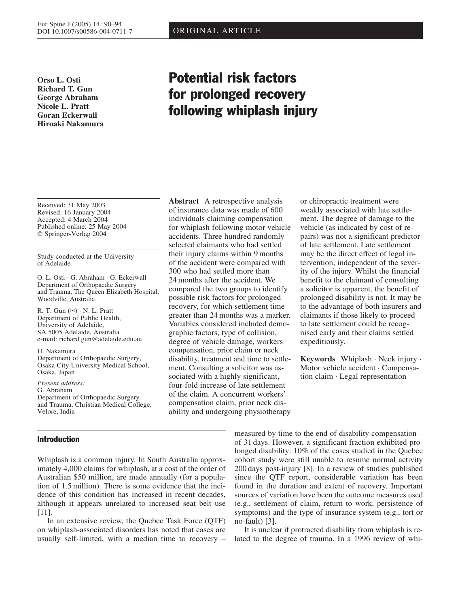**Orso L. Osti Richard T. Gun George Abraham Nicole L. Pratt Goran Eckerwall Hiroaki Nakamura**

#### Received: 31 May 2003 Revised: 16 January 2004 Accepted: 4 March 2004 Published online: 25 May 2004 © Springer-Verlag 2004

Study conducted at the University of Adelaide

O. L. Osti · G. Abraham · G. Eckerwall Department of Orthopaedic Surgery and Trauma, The Queen Elizabeth Hospital, Woodville, Australia

R. T. Gun  $(\mathbb{Z}) \cdot N$ . L. Pratt Department of Public Health, University of Adelaide, SA 5005 Adelaide, Australia e-mail: richard.gun@adelaide.edu.au

H. Nakamura Department of Orthopaedic Surgery, Osaka City University Medical School, Osaka, Japan

*Present address:* G. Abraham Department of Orthopaedic Surgery and Trauma, Christian Medical College, Velore, India

# Introduction

Whiplash is a common injury. In South Australia approximately 4,000 claims for whiplash, at a cost of the order of Australian \$50 million, are made annually (for a population of 1.5 million). There is some evidence that the incidence of this condition has increased in recent decades, although it appears unrelated to increased seat belt use [11].

In an extensive review, the Quebec Task Force (QTF) on whiplash-associated disorders has noted that cases are usually self-limited, with a median time to recovery –

# Potential risk factors for prolonged recovery following whiplash injury

**Abstract** A retrospective analysis of insurance data was made of 600 individuals claiming compensation for whiplash following motor vehicle accidents. Three hundred randomly selected claimants who had settled their injury claims within 9 months of the accident were compared with 300 who had settled more than 24 months after the accident. We compared the two groups to identify possible risk factors for prolonged recovery, for which settlement time greater than 24 months was a marker. Variables considered included demographic factors, type of collision, degree of vehicle damage, workers compensation, prior claim or neck disability, treatment and time to settlement. Consulting a solicitor was associated with a highly significant, four-fold increase of late settlement of the claim. A concurrent workers' compensation claim, prior neck disability and undergoing physiotherapy

or chiropractic treatment were weakly associated with late settlement. The degree of damage to the vehicle (as indicated by cost of repairs) was not a significant predictor of late settlement. Late settlement may be the direct effect of legal intervention, independent of the severity of the injury. Whilst the financial benefit to the claimant of consulting a solicitor is apparent, the benefit of prolonged disability is not. It may be to the advantage of both insurers and claimants if those likely to proceed to late settlement could be recognised early and their claims settled expeditiously.

**Keywords** Whiplash · Neck injury · Motor vehicle accident · Compensation claim · Legal representation

measured by time to the end of disability compensation – of 31 days. However, a significant fraction exhibited prolonged disability: 10% of the cases studied in the Quebec cohort study were still unable to resume normal activity 200 days post-injury [8]. In a review of studies published since the QTF report, considerable variation has been found in the duration and extent of recovery. Important sources of variation have been the outcome measures used (e.g., settlement of claim, return to work, persistence of symptoms) and the type of insurance system (e.g., tort or no-fault) [3].

It is unclear if protracted disability from whiplash is related to the degree of trauma. In a 1996 review of whi-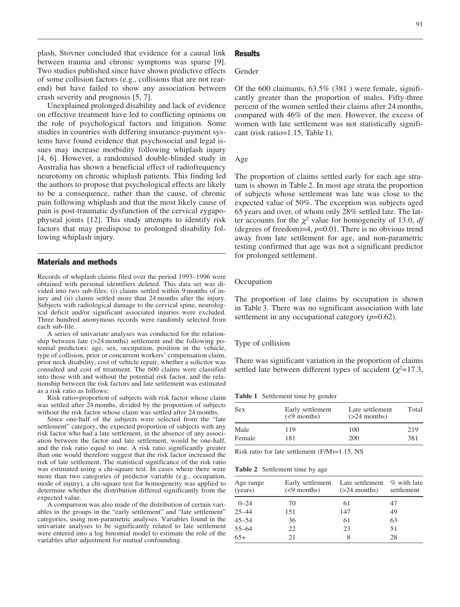91

plash, Stovner concluded that evidence for a causal link between trauma and chronic symptoms was sparse [9]. Two studies published since have shown predictive effects of some collision factors (e.g., collisions that are not rearend) but have failed to show any association between crash severity and prognosis [5, 7].

Unexplained prolonged disability and lack of evidence on effective treatment have led to conflicting opinions on the role of psychological factors and litigation. Some studies in countries with differing insurance-payment systems have found evidence that psychosocial and legal issues may increase morbidity following whiplash injury [4, 6]. However, a randomised double-blinded study in Australia has shown a beneficial effect of radiofrequency neurotomy on chronic whiplash patients. This finding led the authors to propose that psychological effects are likely to be a consequence, rather than the cause, of chronic pain following whiplash and that the most likely cause of pain is post-traumatic dysfunction of the cervical zygapophyseal joints [12]. This study attempts to identify risk factors that may predispose to prolonged disability following whiplash injury.

# Materials and methods

Records of whiplash claims filed over the period 1993–1996 were obtained with personal identifiers deleted. This data set was divided into two sub-files: (i) claims settled within 9 months of injury and (ii) claims settled more than 24 months after the injury. Subjects with radiological damage to the cervical spine, neurological deficit and/or significant associated injuries were excluded. Three hundred anonymous records were randomly selected from each sub-file.

A series of univariate analyses was conducted for the relationship between late (>24 months) settlement and the following potential predictors: age, sex, occupation, position in the vehicle, type of collision, prior or concurrent workers' compensation claim, prior neck disability, cost of vehicle repair, whether a solicitor was consulted and cost of treatment. The 600 claims were classified into those with and without the potential risk factor, and the relationship between the risk factors and late settlement was estimated as a risk ratio as follows:

Risk ratio=proportion of subjects with risk factor whose claim was settled after 24 months, divided by the proportion of subjects without the risk factor whose claim was settled after 24 months.

Since one-half of the subjects were selected from the "late settlement" category, the expected proportion of subjects with any risk factor who had a late settlement, in the absence of any association between the factor and late settlement, would be one-half, and the risk ratio equal to one. A risk ratio significantly greater than one would therefore suggest that the risk factor increased the risk of late settlement. The statistical significance of the risk ratio was estimated using a chi-square test. In cases where there were more than two categories of predictor variable (e.g., occupation, mode of injury), a chi-square test for homogeneity was applied to determine whether the distribution differed significantly from the expected value.

A comparison was also made of the distribution of certain variables in the groups in the "early settlement" and "late settlement" categories, using non-parametric analyses. Variables found in the univariate analyses to be significantly related to late settlement were entered into a log binomial model to estimate the role of the variables after adjustment for mutual confounding.

#### **Results**

# Gender

Of the  $600$  claimants,  $63.5\%$   $(381)$  were female, significantly greater than the proportion of males. Fifty-three percent of the women settled their claims after 24 months, compared with 46% of the men. However, the excess of women with late settlement was not statistically significant (risk ratio=1.15, Table 1).

#### Age

The proportion of claims settled early for each age stratum is shown in Table 2. In most age strata the proportion of subjects whose settlement was late was close to the expected value of 50%. The exception was subjects aged 65 years and over, of whom only 28% settled late. The latter accounts for the  $\chi^2$  value for homogeneity of 13.0, *df* (degrees of freedom)=4, *p*=0.01. There is no obvious trend away from late settlement for age, and non-parametric testing confirmed that age was not a significant predictor for prolonged settlement.

# **Occupation**

The proportion of late claims by occupation is shown in Table 3. There was no significant association with late settlement in any occupational category (*p*=0.62).

#### Type of collision

There was significant variation in the proportion of claims settled late between different types of accident  $(\chi^2=17.3,$ 

**Table 1** Settlement time by gender

| <b>Sex</b> | Early settlement<br>$(< 9$ months) | Late settlement<br>$(>24$ months) | Total |
|------------|------------------------------------|-----------------------------------|-------|
| Male       | 119                                | 100                               | 219   |
| Female     | 181                                | 200                               | 381   |

Risk ratio for late settlement (F/M)=1.15, NS

**Table 2** Settlement time by age

| Age range<br>(years) | $(< 9$ months) | Early settlement Late settlement % with late<br>$(>24$ months) | settlement |
|----------------------|----------------|----------------------------------------------------------------|------------|
| $0 - 24$             | 70             | 61                                                             | 47         |
| $25 - 44$            | 151            | 147                                                            | 49         |
| $45 - 54$            | 36             | 61                                                             | 63         |
| $55 - 64$            | 22             | 23                                                             | 51         |
| $65+$                | 21             | 8                                                              | 28         |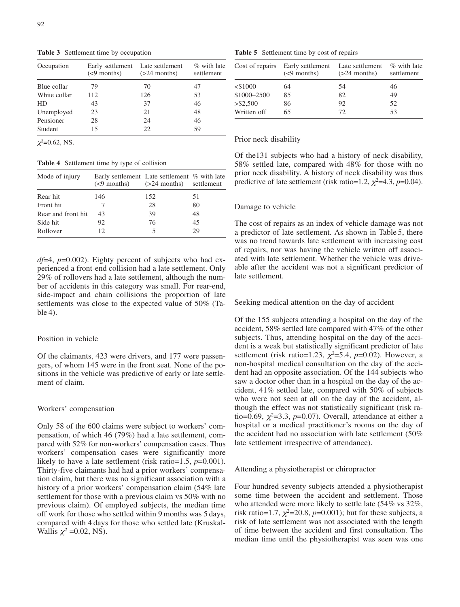| Occupation   | Early settlement Late settlement<br>$(< 9$ months) | $(>24$ months) | $\%$ with late<br>settlement |
|--------------|----------------------------------------------------|----------------|------------------------------|
| Blue collar  | 79                                                 | 70             | 47                           |
| White collar | 112                                                | 126            | 53                           |
| HD.          | 43                                                 | 37             | 46                           |
| Unemployed   | 23                                                 | 21             | 48                           |
| Pensioner    | 28                                                 | 24             | 46                           |
| Student      | 15                                                 | 22.            | 59                           |

**Table 3** Settlement time by occupation

 $\chi^2$ =0.62, NS.

**Table 4** Settlement time by type of collision

| Mode of injury     | Early settlement Late settlement % with late<br>$(\leq 9 \text{ months})$ $(>24 \text{ months})$ settlement |     |    |
|--------------------|-------------------------------------------------------------------------------------------------------------|-----|----|
| Rear hit           | 146                                                                                                         | 152 | 51 |
| Front hit          |                                                                                                             | 28  | 80 |
| Rear and front hit | 43                                                                                                          | 39  | 48 |
| Side hit           | 92                                                                                                          | 76  | 45 |
| Rollover           | 12                                                                                                          | 5   | 29 |

*df*=4, *p*=0.002). Eighty percent of subjects who had experienced a front-end collision had a late settlement. Only 29% of rollovers had a late settlement, although the number of accidents in this category was small. For rear-end, side-impact and chain collisions the proportion of late settlements was close to the expected value of 50% (Table 4).

# Position in vehicle

Of the claimants, 423 were drivers, and 177 were passengers, of whom 145 were in the front seat. None of the positions in the vehicle was predictive of early or late settlement of claim.

### Workers' compensation

Only 58 of the 600 claims were subject to workers' compensation, of which 46 (79%) had a late settlement, compared with 52% for non-workers' compensation cases. Thus workers' compensation cases were significantly more likely to have a late settlement (risk ratio=1.5, *p*=0.001). Thirty-five claimants had had a prior workers' compensation claim, but there was no significant association with a history of a prior workers' compensation claim (54% late settlement for those with a previous claim vs 50% with no previous claim). Of employed subjects, the median time off work for those who settled within 9 months was 5 days, compared with 4 days for those who settled late (Kruskal-Wallis  $\chi^2$  =0.02, NS).

**Table 5** Settlement time by cost of repairs

| Cost of repairs | Early settlement Late settlement<br>$(< 9$ months) | $(>24$ months) | % with late<br>settlement |
|-----------------|----------------------------------------------------|----------------|---------------------------|
| $<$ \$1000      | 64                                                 | 54             | 46                        |
| \$1000-2500     | 85                                                 | 82             | 49                        |
| > \$2,500       | 86                                                 | 92             | 52                        |
| Written off     | 65                                                 | 72             | 53                        |
|                 |                                                    |                |                           |

# Prior neck disability

Of the131 subjects who had a history of neck disability, 58% settled late, compared with 48% for those with no prior neck disability. A history of neck disability was thus predictive of late settlement (risk ratio=1.2,  $\chi^2$ =4.3,  $p$ =0.04).

# Damage to vehicle

The cost of repairs as an index of vehicle damage was not a predictor of late settlement. As shown in Table 5, there was no trend towards late settlement with increasing cost of repairs, nor was having the vehicle written off associated with late settlement. Whether the vehicle was driveable after the accident was not a significant predictor of late settlement.

Seeking medical attention on the day of accident

Of the 155 subjects attending a hospital on the day of the accident, 58% settled late compared with 47% of the other subjects. Thus, attending hospital on the day of the accident is a weak but statistically significant predictor of late settlement (risk ratio=1.23,  $\chi^2$ =5.4,  $p$ =0.02). However, a non-hospital medical consultation on the day of the accident had an opposite association. Of the 144 subjects who saw a doctor other than in a hospital on the day of the accident, 41% settled late, compared with 50% of subjects who were not seen at all on the day of the accident, although the effect was not statistically significant (risk ratio=0.69,  $\chi^2$ =3.3, p=0.07). Overall, attendance at either a hospital or a medical practitioner's rooms on the day of the accident had no association with late settlement (50% late settlement irrespective of attendance).

Attending a physiotherapist or chiropractor

Four hundred seventy subjects attended a physiotherapist some time between the accident and settlement. Those who attended were more likely to settle late (54% vs 32%, risk ratio=1.7,  $\chi^2$ =20.8,  $p$ =0.001); but for these subjects, a risk of late settlement was not associated with the length of time between the accident and first consultation. The median time until the physiotherapist was seen was one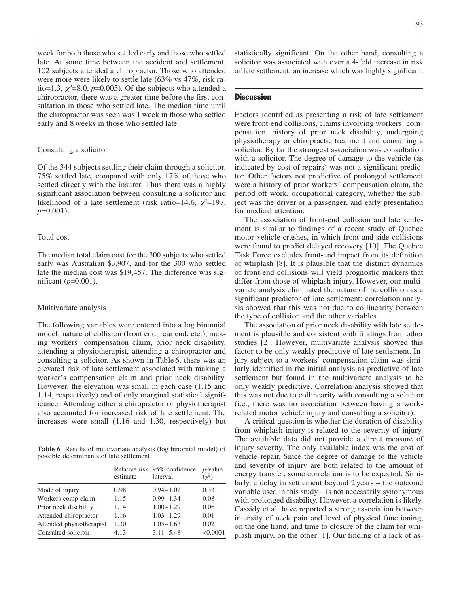week for both those who settled early and those who settled late. At some time between the accident and settlement, 102 subjects attended a chiropractor. Those who attended were more were likely to settle late (63% vs 47%, risk ratio=1.3,  $\chi^2$ =8.0,  $p$ =0.005). Of the subjects who attended a chiropractor, there was a greater time before the first consultation in those who settled late. The median time until the chiropractor was seen was 1 week in those who settled early and 8 weeks in those who settled late.

# Consulting a solicitor

Of the 344 subjects settling their claim through a solicitor, 75% settled late, compared with only 17% of those who settled directly with the insurer. Thus there was a highly significant association between consulting a solicitor and likelihood of a late settlement (risk ratio=14.6,  $\chi^2$ =197, *p*=0.001).

### Total cost

The median total claim cost for the 300 subjects who settled early was Australian \$3,907, and for the 300 who settled late the median cost was \$19,457. The difference was significant (*p*=0.001).

#### Multivariate analysis

The following variables were entered into a log binomial model: nature of collision (front end, rear end, etc.), making workers' compensation claim, prior neck disability, attending a physiotherapist, attending a chiropractor and consulting a solicitor. As shown in Table 6, there was an elevated risk of late settlement associated with making a worker's compensation claim and prior neck disability. However, the elevation was small in each case (1.15 and 1.14, respectively) and of only marginal statistical significance. Attending either a chiropractor or physiotherapist also accounted for increased risk of late settlement. The increases were small (1.16 and 1.30, respectively) but

**Table 6** Results of multivariate analysis (log binomial model) of possible determinants of late settlement

|                          | estimate | Relative risk 95% confidence<br>interval | $p$ -value<br>$(\chi^2)$ |
|--------------------------|----------|------------------------------------------|--------------------------|
| Mode of injury           | 0.98     | $0.94 - 1.02$                            | 0.33                     |
| Workers comp claim       | 1.15     | $0.99 - 1.34$                            | 0.08                     |
| Prior neck disability    | 1.14     | $1.00 - 1.29$                            | 0.06                     |
| Attended chiropractor    | 1.16     | $1.03 - 1.29$                            | 0.01                     |
| Attended physiotherapist | 1.30     | $1.05 - 1.63$                            | 0.02                     |
| Consulted solicitor      | 4.13     | $3.11 - 5.48$                            | < 0.0001                 |

statistically significant. On the other hand, consulting a solicitor was associated with over a 4-fold increase in risk of late settlement, an increase which was highly significant.

#### **Discussion**

Factors identified as presenting a risk of late settlement were front-end collisions, claims involving workers' compensation, history of prior neck disability, undergoing physiotherapy or chiropractic treatment and consulting a solicitor. By far the strongest association was consultation with a solicitor. The degree of damage to the vehicle (as indicated by cost of repairs) was not a significant predictor. Other factors not predictive of prolonged settlement were a history of prior workers' compensation claim, the period off work, occupational category, whether the subject was the driver or a passenger, and early presentation for medical attention.

The association of front-end collision and late settlement is similar to findings of a recent study of Quebec motor vehicle crashes, in which front and side collisions were found to predict delayed recovery [10]. The Quebec Task Force excludes front-end impact from its definition of whiplash [8]. It is plausible that the distinct dynamics of front-end collisions will yield prognostic markers that differ from those of whiplash injury. However, our multivariate analysis eliminated the nature of the collision as a significant predictor of late settlement: correlation analysis showed that this was not due to collinearity between the type of collision and the other variables.

The association of prior neck disability with late settlement is plausible and consistent with findings from other studies [2]. However, multivariate analysis showed this factor to be only weakly predictive of late settlement. Injury subject to a workers' compensation claim was similarly identified in the initial analysis as predictive of late settlement but found in the multivariate analysis to be only weakly predictive. Correlation analysis showed that this was not due to collinearity with consulting a solicitor (i.e., there was no association between having a workrelated motor vehicle injury and consulting a solicitor).

A critical question is whether the duration of disability from whiplash injury is related to the severity of injury. The available data did not provide a direct measure of injury severity. The only available index was the cost of vehicle repair. Since the degree of damage to the vehicle and severity of injury are both related to the amount of energy transfer, some correlation is to be expected. Similarly, a delay in settlement beyond 2 years – the outcome variable used in this study – is not necessarily synonymous with prolonged disability. However, a correlation is likely. Cassidy et al. have reported a strong association between intensity of neck pain and level of physical functioning, on the one hand, and time to closure of the claim for whiplash injury, on the other [1]. Our finding of a lack of as